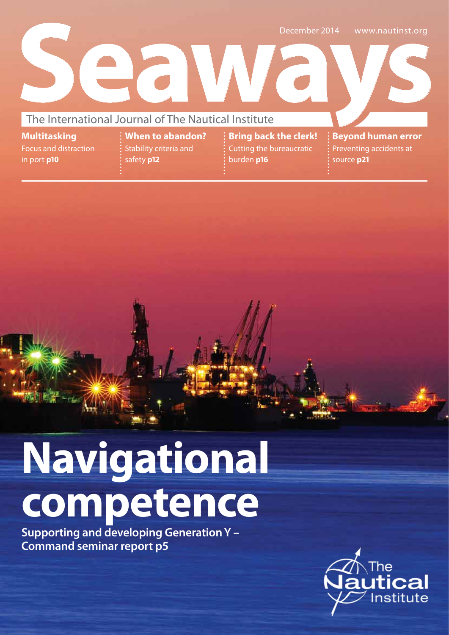

**Multitasking** Focus and distraction in port **p10**

**When to abandon?** Stability criteria and safety **p12**

**Bring back the clerk!**  Cutting the bureaucratic burden **p16**

**Beyond human error**  Preventing accidents at source **p21**

# **Navigational competence**

**Supporting and developing Generation Y – Command seminar report p5**

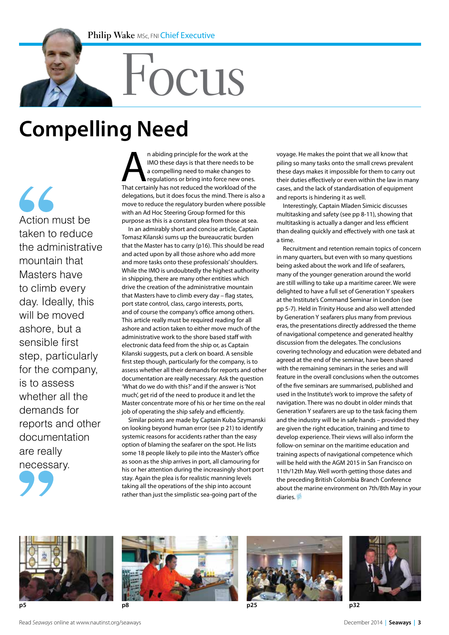# Focus

## **Compelling Need**

 $\overline{\mathcal{L}}$ Action must be taken to reduce the administrative mountain that Masters have to climb every day. Ideally, this will be moved ashore, but a sensible first step, particularly for the company, is to assess whether all the demands for reports and other documentation are really necessary.

An abiding principle for the work at the IMO these days is that there needs to be a compelling need to make changes to regulations or bring into force new ones.<br>That certainly has not reduced the workload of the IMO these days is that there needs to be a compelling need to make changes to regulations or bring into force new ones. delegations, but it does focus the mind. There is also a move to reduce the regulatory burden where possible with an Ad Hoc Steering Group formed for this purpose as this is a constant plea from those at sea.

In an admirably short and concise article, Captain Tomasz Kilanski sums up the bureaucratic burden that the Master has to carry (p16). This should be read and acted upon by all those ashore who add more and more tasks onto these professionals' shoulders. While the IMO is undoubtedly the highest authority in shipping, there are many other entities which drive the creation of the administrative mountain that Masters have to climb every day – flag states, port state control, class, cargo interests, ports, and of course the company's office among others. This article really must be required reading for all ashore and action taken to either move much of the administrative work to the shore based staff with electronic data feed from the ship or, as Captain Kilanski suggests, put a clerk on board. A sensible first step though, particularly for the company, is to assess whether all their demands for reports and other documentation are really necessary. Ask the question 'What do we do with this?' and if the answer is 'Not much', get rid of the need to produce it and let the Master concentrate more of his or her time on the real job of operating the ship safely and efficiently.

Similar points are made by Captain Kuba Szymanski on looking beyond human error (see p 21) to identify systemic reasons for accidents rather than the easy option of blaming the seafarer on the spot. He lists some 18 people likely to pile into the Master's office as soon as the ship arrives in port, all clamouring for his or her attention during the increasingly short port stay. Again the plea is for realistic manning levels taking all the operations of the ship into account rather than just the simplistic sea-going part of the

voyage. He makes the point that we all know that piling so many tasks onto the small crews prevalent these days makes it impossible for them to carry out their duties effectively or even within the law in many cases, and the lack of standardisation of equipment and reports is hindering it as well.

Interestingly, Captain Mladen Simicic discusses multitasking and safety (see pp 8-11), showing that multitasking is actually a danger and less efficient than dealing quickly and effectively with one task at a time.

Recruitment and retention remain topics of concern in many quarters, but even with so many questions being asked about the work and life of seafarers, many of the younger generation around the world are still willing to take up a maritime career. We were delighted to have a full set of Generation Y speakers at the Institute's Command Seminar in London (see pp 5-7). Held in Trinity House and also well attended by Generation Y seafarers plus many from previous eras, the presentations directly addressed the theme of navigational competence and generated healthy discussion from the delegates. The conclusions covering technology and education were debated and agreed at the end of the seminar, have been shared with the remaining seminars in the series and will feature in the overall conclusions when the outcomes of the five seminars are summarised, published and used in the Institute's work to improve the safety of navigation. There was no doubt in older minds that Generation Y seafarers are up to the task facing them and the industry will be in safe hands – provided they are given the right education, training and time to develop experience. Their views will also inform the follow-on seminar on the maritime education and training aspects of navigational competence which will be held with the AGM 2015 in San Francisco on 11th/12th May. Well worth getting those dates and the preceding British Colombia Branch Conference about the marine environment on 7th/8th May in your diaries.







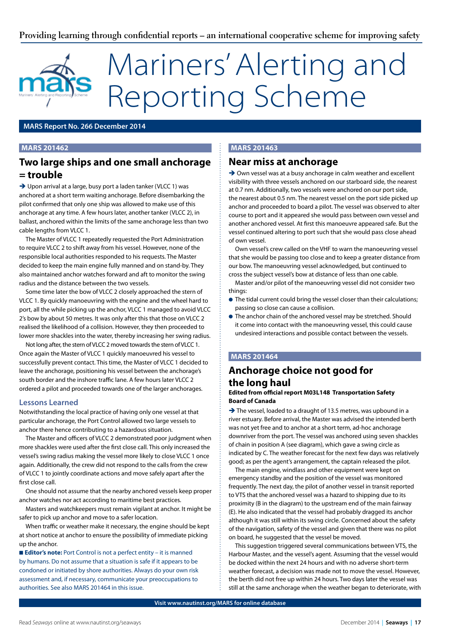# Mariners' Alerting and Reporting Scheme

#### **MARS Report No. 266 December 2014**

#### **MARS 201462**

#### **Two large ships and one small anchorage = trouble**

→ Upon arrival at a large, busy port a laden tanker (VLCC 1) was anchored at a short term waiting anchorage. Before disembarking the pilot confirmed that only one ship was allowed to make use of this anchorage at any time. A few hours later, another tanker (VLCC 2), in ballast, anchored within the limits of the same anchorage less than two cable lengths from VLCC 1.

The Master of VLCC 1 repeatedly requested the Port Administration to require VLCC 2 to shift away from his vessel. However, none of the responsible local authorities responded to his requests. The Master decided to keep the main engine fully manned and on stand-by. They also maintained anchor watches forward and aft to monitor the swing radius and the distance between the two vessels.

Some time later the bow of VLCC 2 closely approached the stern of VLCC 1. By quickly manoeuvring with the engine and the wheel hard to port, all the while picking up the anchor, VLCC 1 managed to avoid VLCC 2's bow by about 50 metres. It was only after this that those on VLCC 2 realised the likelihood of a collision. However, they then proceeded to lower more shackles into the water, thereby increasing her swing radius.

Not long after, the stern of VLCC 2 moved towards the stern of VLCC 1. Once again the Master of VLCC 1 quickly manoeuvred his vessel to successfully prevent contact. This time, the Master of VLCC 1 decided to leave the anchorage, positioning his vessel between the anchorage's south border and the inshore traffic lane. A few hours later VLCC 2 ordered a pilot and proceeded towards one of the larger anchorages.

#### **Lessons Learned**

Notwithstanding the local practice of having only one vessel at that particular anchorage, the Port Control allowed two large vessels to anchor there hence contributing to a hazardous situation.

The Master and officers of VLCC 2 demonstrated poor judgment when more shackles were used after the first close call. This only increased the vessel's swing radius making the vessel more likely to close VLCC 1 once again. Additionally, the crew did not respond to the calls from the crew of VLCC 1 to jointly coordinate actions and move safely apart after the first close call.

One should not assume that the nearby anchored vessels keep proper anchor watches nor act according to maritime best practices.

Masters and watchkeepers must remain vigilant at anchor. It might be safer to pick up anchor and move to a safer location.

When traffic or weather make it necessary, the engine should be kept at short notice at anchor to ensure the possibility of immediate picking up the anchor.

■ **Editor's note:** Port Control is not a perfect entity – it is manned by humans. Do not assume that a situation is safe if it appears to be condoned or initiated by shore authorities. Always do your own risk assessment and, if necessary, communicate your preoccupations to authorities. See also MARS 201464 in this issue.

#### **MARS 201463**

#### **Near miss at anchorage**

→ Own vessel was at a busy anchorage in calm weather and excellent visibility with three vessels anchored on our starboard side, the nearest at 0.7 nm. Additionally, two vessels were anchored on our port side, the nearest about 0.5 nm. The nearest vessel on the port side picked up anchor and proceeded to board a pilot. The vessel was observed to alter course to port and it appeared she would pass between own vessel and another anchored vessel. At first this manoeuvre appeared safe. But the vessel continued altering to port such that she would pass close ahead of own vessel.

Own vessel's crew called on the VHF to warn the manoeuvring vessel that she would be passing too close and to keep a greater distance from our bow. The manoeuvring vessel acknowledged, but continued to cross the subject vessel's bow at distance of less than one cable.

Master and/or pilot of the manoeuvring vessel did not consider two things:

- $\bullet$  The tidal current could bring the vessel closer than their calculations; passing so close can cause a collision.
- **The anchor chain of the anchored vessel may be stretched. Should** it come into contact with the manoeuvring vessel, this could cause undesired interactions and possible contact between the vessels.

#### **MARS 201464**

#### **Anchorage choice not good for the long haul**

#### **Edited from official report M03L148 Transportation Safety Board of Canada**

 $\rightarrow$  The vessel, loaded to a draught of 13.5 metres, was upbound in a river estuary. Before arrival, the Master was advised the intended berth was not yet free and to anchor at a short term, ad-hoc anchorage downriver from the port. The vessel was anchored using seven shackles of chain in position A (see diagram), which gave a swing circle as indicated by C. The weather forecast for the next few days was relatively good; as per the agent's arrangement, the captain released the pilot.

The main engine, windlass and other equipment were kept on emergency standby and the position of the vessel was monitored frequently. The next day, the pilot of another vessel in transit reported to VTS that the anchored vessel was a hazard to shipping due to its proximity (B in the diagram) to the upstream end of the main fairway (E). He also indicated that the vessel had probably dragged its anchor although it was still within its swing circle. Concerned about the safety of the navigation, safety of the vessel and given that there was no pilot on board, he suggested that the vessel be moved.

This suggestion triggered several communications between VTS, the Harbour Master, and the vessel's agent. Assuming that the vessel would be docked within the next 24 hours and with no adverse short-term weather forecast, a decision was made not to move the vessel. However, the berth did not free up within 24 hours. Two days later the vessel was still at the same anchorage when the weather began to deteriorate, with

**Visit www.nautinst.org/MARS for online database**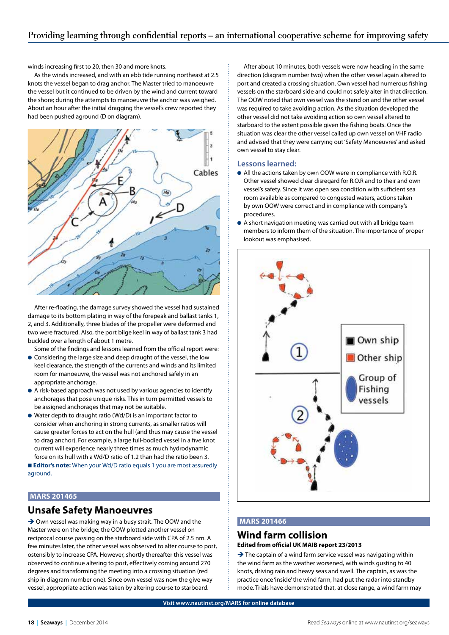winds increasing first to 20, then 30 and more knots.

As the winds increased, and with an ebb tide running northeast at 2.5 knots the vessel began to drag anchor. The Master tried to manoeuvre the vessel but it continued to be driven by the wind and current toward the shore; during the attempts to manoeuvre the anchor was weighed. About an hour after the initial dragging the vessel's crew reported they had been pushed aground (D on diagram).



After re-floating, the damage survey showed the vessel had sustained damage to its bottom plating in way of the forepeak and ballast tanks 1, 2, and 3. Additionally, three blades of the propeller were deformed and two were fractured. Also, the port bilge keel in way of ballast tank 3 had buckled over a length of about 1 metre.

Some of the findings and lessons learned from the official report were:

- **Considering the large size and deep draught of the vessel, the low** keel clearance, the strength of the currents and winds and its limited room for manoeuvre, the vessel was not anchored safely in an appropriate anchorage.
- l A risk-based approach was not used by various agencies to identify anchorages that pose unique risks. This in turn permitted vessels to be assigned anchorages that may not be suitable.
- $\bullet$  Water depth to draught ratio (Wd/D) is an important factor to consider when anchoring in strong currents, as smaller ratios will cause greater forces to act on the hull (and thus may cause the vessel to drag anchor). For example, a large full-bodied vessel in a five knot current will experience nearly three times as much hydrodynamic force on its hull with a Wd/D ratio of 1.2 than had the ratio been 3.

■ **Editor's note:** When your Wd/D ratio equals 1 you are most assuredly aground.

#### **MARS 201465**

#### **Unsafe Safety Manoeuvres**

→ Own vessel was making way in a busy strait. The OOW and the Master were on the bridge; the OOW plotted another vessel on reciprocal course passing on the starboard side with CPA of 2.5 nm. A few minutes later, the other vessel was observed to alter course to port, ostensibly to increase CPA. However, shortly thereafter this vessel was observed to continue altering to port, effectively coming around 270 degrees and transforming the meeting into a crossing situation (red ship in diagram number one). Since own vessel was now the give way vessel, appropriate action was taken by altering course to starboard.

After about 10 minutes, both vessels were now heading in the same direction (diagram number two) when the other vessel again altered to port and created a crossing situation. Own vessel had numerous fishing vessels on the starboard side and could not safely alter in that direction. The OOW noted that own vessel was the stand on and the other vessel was required to take avoiding action. As the situation developed the other vessel did not take avoiding action so own vessel altered to starboard to the extent possible given the fishing boats. Once the situation was clear the other vessel called up own vessel on VHF radio and advised that they were carrying out 'Safety Manoeuvres' and asked own vessel to stay clear.

#### **Lessons learned:**

- All the actions taken by own OOW were in compliance with R.O.R. Other vessel showed clear disregard for R.O.R and to their and own vessel's safety. Since it was open sea condition with sufficient sea room available as compared to congested waters, actions taken by own OOW were correct and in compliance with company's procedures.
- l A short navigation meeting was carried out with all bridge team members to inform them of the situation. The importance of proper lookout was emphasised.



#### **MARS 201466**

#### **Wind farm collision Edited from official UK MAIB report 23/2013**

 $\rightarrow$  The captain of a wind farm service vessel was navigating within the wind farm as the weather worsened, with winds gusting to 40 knots, driving rain and heavy seas and swell. The captain, as was the practice once 'inside' the wind farm, had put the radar into standby mode. Trials have demonstrated that, at close range, a wind farm may

**Visit www.nautinst.org/MARS for online database**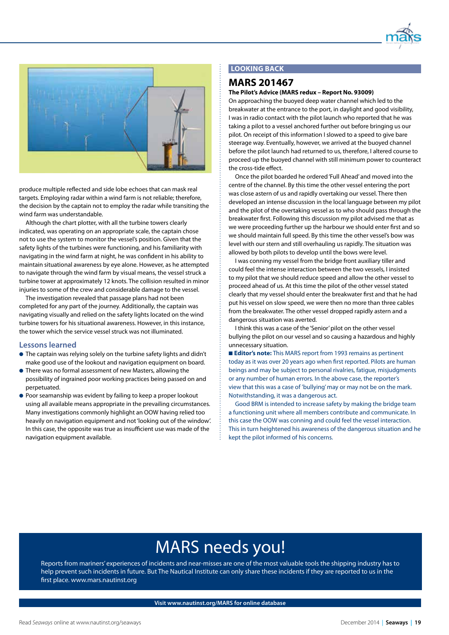



produce multiple reflected and side lobe echoes that can mask real targets. Employing radar within a wind farm is not reliable; therefore, the decision by the captain not to employ the radar while transiting the wind farm was understandable.

Although the chart plotter, with all the turbine towers clearly indicated, was operating on an appropriate scale, the captain chose not to use the system to monitor the vessel's position. Given that the safety lights of the turbines were functioning, and his familiarity with navigating in the wind farm at night, he was confident in his ability to maintain situational awareness by eye alone. However, as he attempted to navigate through the wind farm by visual means, the vessel struck a turbine tower at approximately 12 knots. The collision resulted in minor injuries to some of the crew and considerable damage to the vessel.

The investigation revealed that passage plans had not been completed for any part of the journey. Additionally, the captain was navigating visually and relied on the safety lights located on the wind turbine towers for his situational awareness. However, in this instance, the tower which the service vessel struck was not illuminated.

#### **Lessons learned**

- The captain was relying solely on the turbine safety lights and didn't make good use of the lookout and navigation equipment on board.
- **There was no formal assessment of new Masters, allowing the** possibility of ingrained poor working practices being passed on and perpetuated.
- **Poor seamanship was evident by failing to keep a proper lookout** using all available means appropriate in the prevailing circumstances. Many investigations commonly highlight an OOW having relied too heavily on navigation equipment and not 'looking out of the window'. In this case, the opposite was true as insufficient use was made of the navigation equipment available.

#### **LOOKING BACK**

#### **MARS 201467**

#### **The Pilot's Advice (MARS redux – Report No. 93009)**

On approaching the buoyed deep water channel which led to the breakwater at the entrance to the port, in daylight and good visibility, I was in radio contact with the pilot launch who reported that he was taking a pilot to a vessel anchored further out before bringing us our pilot. On receipt of this information I slowed to a speed to give bare steerage way. Eventually, however, we arrived at the buoyed channel before the pilot launch had returned to us, therefore, I altered course to proceed up the buoyed channel with still minimum power to counteract the cross-tide effect.

Once the pilot boarded he ordered 'Full Ahead' and moved into the centre of the channel. By this time the other vessel entering the port was close astern of us and rapidly overtaking our vessel. There then developed an intense discussion in the local language between my pilot and the pilot of the overtaking vessel as to who should pass through the breakwater first. Following this discussion my pilot advised me that as we were proceeding further up the harbour we should enter first and so we should maintain full speed. By this time the other vessel's bow was level with our stern and still overhauling us rapidly. The situation was allowed by both pilots to develop until the bows were level.

I was conning my vessel from the bridge front auxiliary tiller and could feel the intense interaction between the two vessels, I insisted to my pilot that we should reduce speed and allow the other vessel to proceed ahead of us. At this time the pilot of the other vessel stated clearly that my vessel should enter the breakwater first and that he had put his vessel on slow speed, we were then no more than three cables from the breakwater. The other vessel dropped rapidly astern and a dangerous situation was averted.

I think this was a case of the 'Senior' pilot on the other vessel bullying the pilot on our vessel and so causing a hazardous and highly unnecessary situation.

■ **Editor's note:** This MARS report from 1993 remains as pertinent today as it was over 20 years ago when first reported. Pilots are human beings and may be subject to personal rivalries, fatigue, misjudgments or any number of human errors. In the above case, the reporter's view that this was a case of 'bullying' may or may not be on the mark. Notwithstanding, it was a dangerous act.

Good BRM is intended to increase safety by making the bridge team a functioning unit where all members contribute and communicate. In this case the OOW was conning and could feel the vessel interaction. This in turn heightened his awareness of the dangerous situation and he kept the pilot informed of his concerns.

### MARS needs you!

Reports from mariners' experiences of incidents and near-misses are one of the most valuable tools the shipping industry has to help prevent such incidents in future. But The Nautical Institute can only share these incidents if they are reported to us in the first place. www.mars.nautinst.org

**Visit www.nautinst.org/MARS for online database**